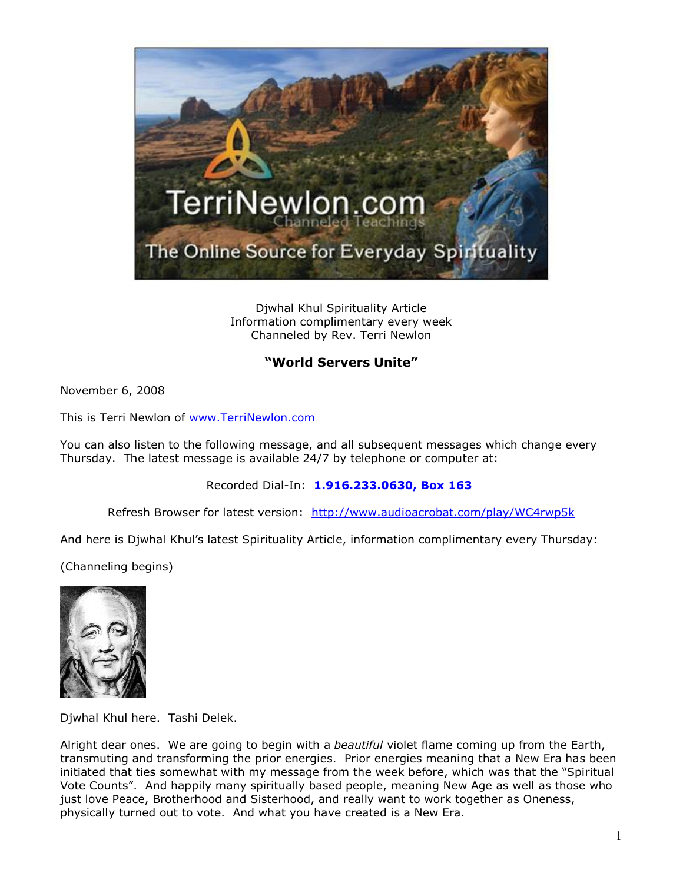

Djwhal Khul Spirituality Article Information complimentary every week Channeled by Rev. Terri Newlon

## **"World Servers Unite"**

November 6, 2008

This is Terri Newlon of [www.TerriNewlon.com](http://www.terrinewlon.com/)

You can also listen to the following message, and all subsequent messages which change every Thursday. The latest message is available 24/7 by telephone or computer at:

Recorded Dial-In: **1.916.233.0630, Box 163**

Refresh Browser for latest version: <http://www.audioacrobat.com/play/WC4rwp5k>

And here is Djwhal Khul's latest Spirituality Article, information complimentary every Thursday:

(Channeling begins)



Djwhal Khul here. Tashi Delek.

Alright dear ones. We are going to begin with a *beautiful* violet flame coming up from the Earth, transmuting and transforming the prior energies. Prior energies meaning that a New Era has been initiated that ties somewhat with my message from the week before, which was that the "Spiritual Vote Counts". And happily many spiritually based people, meaning New Age as well as those who just love Peace, Brotherhood and Sisterhood, and really want to work together as Oneness, physically turned out to vote. And what you have created is a New Era.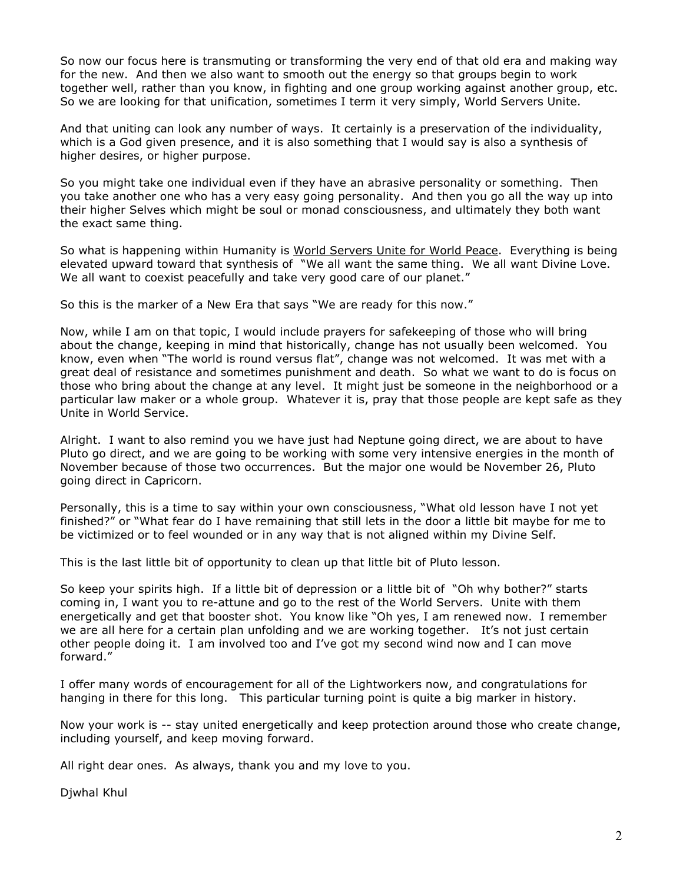So now our focus here is transmuting or transforming the very end of that old era and making way for the new. And then we also want to smooth out the energy so that groups begin to work together well, rather than you know, in fighting and one group working against another group, etc. So we are looking for that unification, sometimes I term it very simply, World Servers Unite.

And that uniting can look any number of ways. It certainly is a preservation of the individuality, which is a God given presence, and it is also something that I would say is also a synthesis of higher desires, or higher purpose.

So you might take one individual even if they have an abrasive personality or something. Then you take another one who has a very easy going personality. And then you go all the way up into their higher Selves which might be soul or monad consciousness, and ultimately they both want the exact same thing.

So what is happening within Humanity is World Servers Unite for World Peace. Everything is being elevated upward toward that synthesis of "We all want the same thing. We all want Divine Love. We all want to coexist peacefully and take very good care of our planet."

So this is the marker of a New Era that says "We are ready for this now."

Now, while I am on that topic, I would include prayers for safekeeping of those who will bring about the change, keeping in mind that historically, change has not usually been welcomed. You know, even when "The world is round versus flat", change was not welcomed. It was met with a great deal of resistance and sometimes punishment and death. So what we want to do is focus on those who bring about the change at any level. It might just be someone in the neighborhood or a particular law maker or a whole group. Whatever it is, pray that those people are kept safe as they Unite in World Service.

Alright. I want to also remind you we have just had Neptune going direct, we are about to have Pluto go direct, and we are going to be working with some very intensive energies in the month of November because of those two occurrences. But the major one would be November 26, Pluto going direct in Capricorn.

Personally, this is a time to say within your own consciousness, "What old lesson have I not yet finished?" or "What fear do I have remaining that still lets in the door a little bit maybe for me to be victimized or to feel wounded or in any way that is not aligned within my Divine Self.

This is the last little bit of opportunity to clean up that little bit of Pluto lesson.

So keep your spirits high. If a little bit of depression or a little bit of "Oh why bother?" starts coming in, I want you to re-attune and go to the rest of the World Servers. Unite with them energetically and get that booster shot. You know like "Oh yes, I am renewed now. I remember we are all here for a certain plan unfolding and we are working together. It's not just certain other people doing it. I am involved too and I've got my second wind now and I can move forward."

I offer many words of encouragement for all of the Lightworkers now, and congratulations for hanging in there for this long. This particular turning point is quite a big marker in history.

Now your work is -- stay united energetically and keep protection around those who create change, including yourself, and keep moving forward.

All right dear ones. As always, thank you and my love to you.

Djwhal Khul